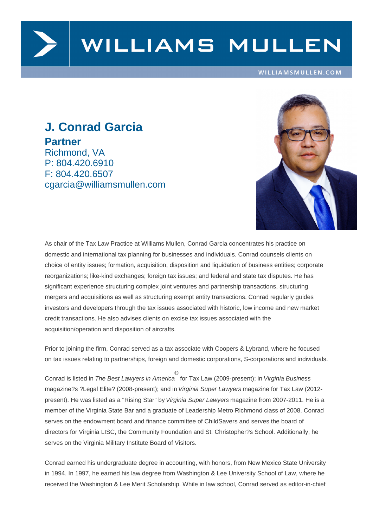

# WILLIAMS MULLEN

#### WILLIAMSMULLEN.COM

## **J. Conrad Garcia Partner** Richmond, VA P: 804.420.6910 F: 804.420.6507 cgarcia@williamsmullen.com



As chair of the Tax Law Practice at Williams Mullen, Conrad Garcia concentrates his practice on domestic and international tax planning for businesses and individuals. Conrad counsels clients on choice of entity issues; formation, acquisition, disposition and liquidation of business entities; corporate reorganizations; like-kind exchanges; foreign tax issues; and federal and state tax disputes. He has significant experience structuring complex joint ventures and partnership transactions, structuring mergers and acquisitions as well as structuring exempt entity transactions. Conrad regularly guides investors and developers through the tax issues associated with historic, low income and new market credit transactions. He also advises clients on excise tax issues associated with the acquisition/operation and disposition of aircrafts.

Prior to joining the firm, Conrad served as a tax associate with Coopers & Lybrand, where he focused on tax issues relating to partnerships, foreign and domestic corporations, S-corporations and individuals.

Conrad is listed in The Best Lawyers in America © for Tax Law (2009-present); in Virginia Business magazine?s ?Legal Elite? (2008-present); and in Virginia Super Lawyers magazine for Tax Law (2012 present). He was listed as a "Rising Star" by Virginia Super Lawyers magazine from 2007-2011. He is a member of the Virginia State Bar and a graduate of Leadership Metro Richmond class of 2008. Conrad serves on the endowment board and finance committee of ChildSavers and serves the board of directors for Virginia LISC, the Community Foundation and St. Christopher?s School. Additionally, he serves on the Virginia Military Institute Board of Visitors.

Conrad earned his undergraduate degree in accounting, with honors, from New Mexico State University in 1994. In 1997, he earned his law degree from Washington & Lee University School of Law, where he received the Washington & Lee Merit Scholarship. While in law school, Conrad served as editor-in-chief